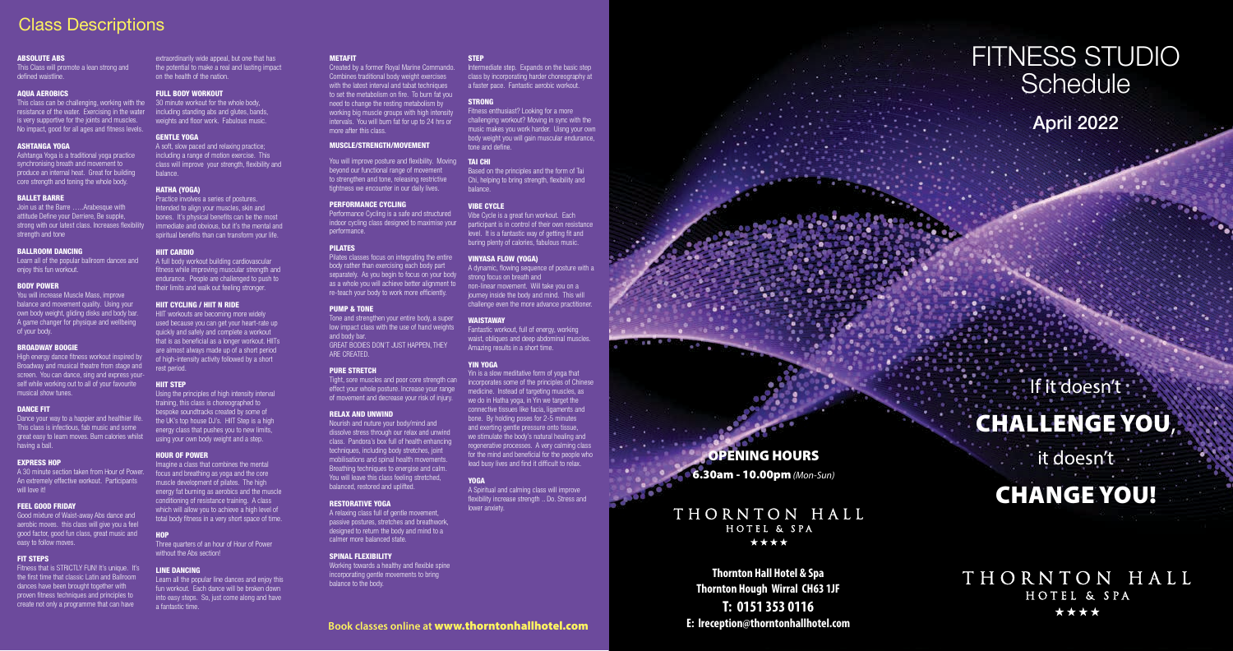# FITNESS STUDIO **Schedule** April 2022

OPENING HOURS

6.30am - 10.00pm *(Mon-Sun)*

# THORNTON HALL HOTEL & SPA \*\*\*\*

**Thornton Hall Hotel & Spa Thornton Hough Wirral CH63 1JF T: 0151 353 0116 E: lreception@thorntonhallhotel.com** 

If it doesn't CHALLENGE YOU , it doesn't CHANGE YOU!

THORNTON HALL HOTEL & SPA \*\*\*\*

# Class Descriptions

## **Book classes online at** www.thorntonhallhotel.com

#### **STEP**

You will improve posture and flexibility. Moving TAI CHI beyond our functional range of movement to strengthen and tone, releasing restrictive tightness we encounter in our daily lives.

Created by a former Royal Marine Commando. Combines traditional body weight exercises with the latest interval and tabat techniques to set the metabolism on fire. To burn fat you need to change the resting metabolism by working big muscle groups with high intensity intervals. You will burn fat for up to 24 hrs or more after this class.

## MUSCLE/STRENGTH/MOVEMENT

#### PERFORMANCE CYCLING

Performance Cycling is a safe and structured indoor cycling class designed to maximise your performance.

#### PILATES

Working towards a healthy and flexible spine incorporating gentle movements to bring balance to the body.

Pilates classes focus on integrating the entire body rather than exercising each body part separately. As you begin to focus on your body as a whole you will achieve better alignment to re-teach your body to work more efficiently.

#### PUMP & TONE

Tone and strengthen your entire body, a super low impact class with the use of hand weights and body bar. GREAT BODIES DON'T JUST HAPPEN, THEY ARE CREATED.

#### PURE STRETCH

Tight, sore muscles and poor core strength can effect your whole posture. Increase your range of movement and decrease your risk of injury.

#### RELAX AND UNWIND

Nourish and nuture your body/mind and dissolve stress through our relax and unwind class. Pandora's box full of health enhancing techniques, including body stretches, joint mobilisations and spinal health movements. Breathing techniques to energise and calm. You will leave this class feeling stretched, balanced, restored and uplifted.

#### RESTORATIVE YOGA

A relaxing class full of gentle movement, passive postures, stretches and breathwork, designed to return the body and mind to a calmer more balanced state.

#### SPINAL FLEXIBILITY

Learn all of the popular ballroom dances and enjoy this fun workout.

Intermediate step. Expands on the basic step class by incorporating harder choreography at a faster pace. Fantastic aerobic workout.

## **STRONG**

Fitness enthusiast? Looking for a more challenging workout? Moving in sync with the music makes you work harder. Uisng your own body weight you will gain muscular endurance, tone and define.

A 30 minute section taken from Hour of Power. An extremely effective workout. Participants will love it!

Based on the principles and the form of Tai Chi, helping to bring strength, flexibility and balance.

#### VIBE CYCLE

Vibe Cycle is a great fun workout. Each participant is in control of their own resistance level. It is a fantastic way of getting fit and buring plenty of calories, fabulous music.

#### VINYASA FLOW (YOGA)

A dynamic, flowing sequence of posture with a strong focus on breath and non-linear movement. Will take you on a journey inside the body and mind. This will challenge even the more advance practitioner.

#### **WAISTAWAY**

Fantastic workout, full of energy, working waist, obliques and deep abdominal muscles. Amazing results in a short time.

#### YIN YOGA

Using the principles of high intensity interval training, this class is choreographed to bespoke soundtracks created by some of the UK's top house DJ's. HIIT Step is a high energy class that pushes you to new limits, using your own body weight and a step.

Yin is a slow meditative form of yoga that incorporates some of the principles of Chinese medicine. Instead of targeting muscles, as we do in Hatha yoga, in Yin we target the connective tissues like facia, ligaments and bone. By holding poses for 2-5 minutes and exerting gentle pressure onto tissue we stimulate the body's natural healing and regenerative processes. A very calming class for the mind and beneficial for the people who lead busy lives and find it difficult to relax.

#### **YOGA**

A Spiritual and calming class will improve flexibility increase strength .. Do. Stress and

lower anxiety.

#### ABSOLUTE ABS

This Class will promote a lean strong and defined waistline.

#### AQUA AEROBICS

This class can be challenging, working with the resistance of the water. Exercising in the water is very supportive for the joints and muscles. No impact, good for all ages and fitness levels.

#### ASHTANGA YOGA

Ashtanga Yoga is a traditional yoga practice synchronising breath and movement to produce an internal heat. Great for building core strength and toning the whole body.

#### BALLET BARRE

Join us at the Barre …..Arabesque with attitude Define your Derriere, Be supple, strong with our latest class. Increases flexibility strength and tone

#### BALLROOM DANCING

#### BODY POWER

You will increase Muscle Mass, improve balance and movement quality. Using your own body weight, gliding disks and body bar. A game changer for physique and wellbeing of your body.

#### BROADWAY BOOGIE

High energy dance fitness workout inspired by Broadway and musical theatre from stage and screen. You can dance, sing and express your self while working out to all of your favourite musical show tunes.

#### DANCE FIT

Dance your way to a happier and healthier life. This class is infectious, fab music and some great easy to learn moves. Burn calories whilst having a ball.

#### EXPRESS HOP

#### FEEL GOOD FRIDAY

Good mixture of Waist-away Abs dance and aerobic moves. this class will give you a feel good factor, good fun class, great music and easy to follow moves.

#### **FIT STEPS**

Fitness that is STRICTLY FUN! It's unique. It's the first time that classic Latin and Ballroom dances have been brought together with proven fitness techniques and principles to create not only a programme that can have

extraordinarily wide appeal, but one that has the potential to make a real and lasting impact on the health of the nation.

#### FULL BODY WORKOUT

30 minute workout for the whole body. including standing abs and glutes, bands weights and floor work. Fabulous music.

### GENTLE YOGA

A soft, slow paced and relaxing practice; including a range of motion exercise. This class will improve your strength, flexibility and balance.

#### HATHA (YOGA)

Practice involves a series of postures. Intended to align your muscles, skin and bones. It's physical benefits can be the most immediate and obvious, but it's the mental and spiritual benefits than can transform your life.

#### **HIIT CARDIO**

A full body workout building cardiovascular fitness while improving muscular strength and endurance. People are challenged to push to their limits and walk out feeling stronger.

#### HIIT CYCLING / HIIT N RIDE

HIIT workouts are becoming more widely used because you can get your heart-rate up quickly and safely and complete a workout that is as beneficial as a longer workout. HIITs are almost always made up of a short period of high-intensity activity followed by a short rest period.

#### HIIT STEP

#### HOUR OF POWER

Imagine a class that combines the mental focus and breathing as yoga and the core muscle development of pilates. The high energy fat burning as aerobics and the muscle conditioning of resistance training. A class which will allow you to achieve a high level of total body fitness in a very short space of time.

#### HOP

Three quarters of an hour of Hour of Power without the Abs section!

#### LINE DANCING

Learn all the popular line dances and enjoy this fun workout. Each dance will be broken down into easy steps. So, just come along and have a fantastic time.

#### **METAFIT**